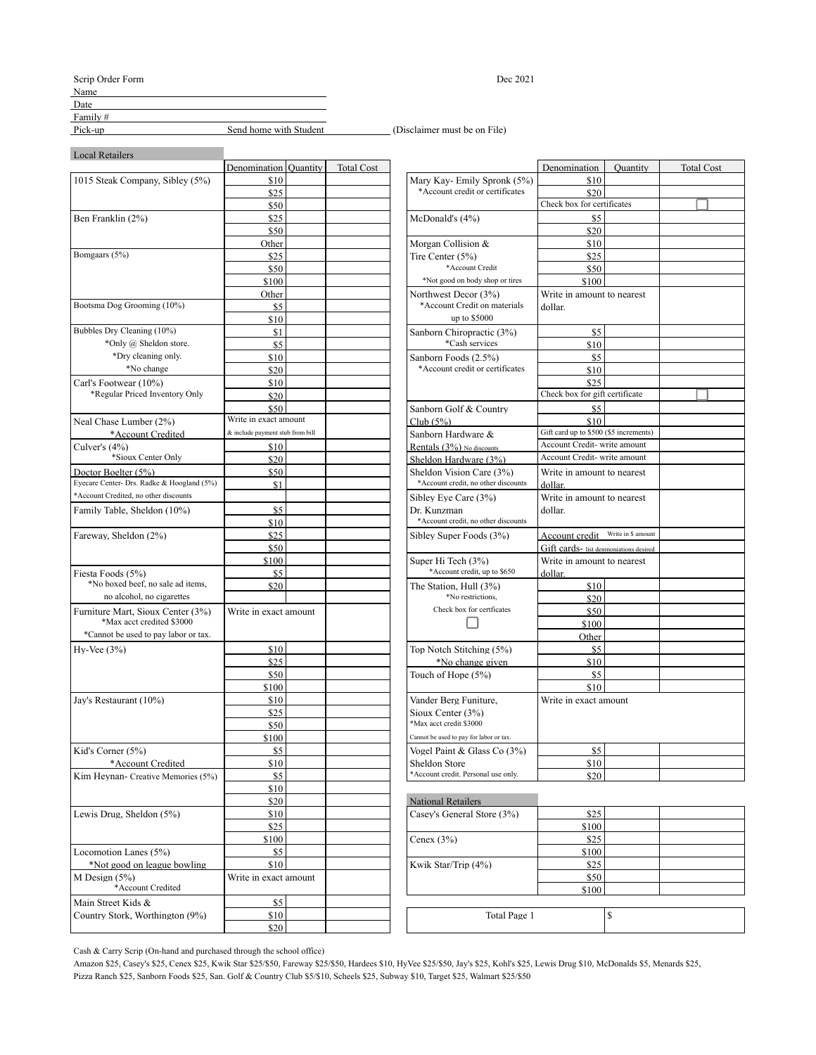Scrip Order Form Dec 2021

Name

 $Date$   $Date$   $0$ 

Family #<br>Pick-up Send home with Student

Pick-up\_\_\_\_\_\_\_ Send home with Student\_\_\_\_\_\_\_\_\_\_\_\_\_\_\_\_\_\_\_\_\_ (Disclaimer must be on File)

Local Retailers

|                                            | Denomination   Quantity          |                                 | <b>Total Cost</b> |                                                             | Denomination                           | Quantity           |  |
|--------------------------------------------|----------------------------------|---------------------------------|-------------------|-------------------------------------------------------------|----------------------------------------|--------------------|--|
| 1015 Steak Company, Sibley (5%)            | \$10                             |                                 |                   | Mary Kay-Emily Spronk (5%)                                  | \$10                                   |                    |  |
|                                            | \$25                             | *Account credit or certificates |                   | \$20                                                        |                                        |                    |  |
|                                            | \$50                             |                                 |                   |                                                             | Check box for certificates             |                    |  |
| Ben Franklin (2%)                          | \$25                             |                                 |                   | McDonald's $(4%)$                                           | \$5                                    |                    |  |
|                                            | \$50                             |                                 |                   |                                                             | \$20                                   |                    |  |
|                                            | Other                            |                                 |                   | Morgan Collision &                                          | \$10                                   |                    |  |
| Bomgaars (5%)                              | \$25                             |                                 |                   | Tire Center $(5%)$                                          | \$25                                   |                    |  |
|                                            | \$50                             |                                 |                   | *Account Credit                                             | \$50                                   |                    |  |
|                                            | \$100                            |                                 |                   | *Not good on body shop or tires                             | \$100                                  |                    |  |
|                                            | Other                            |                                 |                   | Northwest Decor (3%)                                        | Write in amount to nearest             |                    |  |
| Bootsma Dog Grooming (10%)                 | \$5                              |                                 |                   | *Account Credit on materials                                | dollar.                                |                    |  |
|                                            | \$10                             |                                 |                   | up to \$5000                                                |                                        |                    |  |
| Bubbles Dry Cleaning (10%)                 | \$1                              |                                 |                   | Sanborn Chiropractic (3%)                                   | \$5                                    |                    |  |
| *Only @ Sheldon store.                     | \$5                              |                                 |                   | *Cash services                                              | \$10                                   |                    |  |
| *Dry cleaning only.                        | \$10                             |                                 |                   | Sanborn Foods (2.5%)                                        | \$5                                    |                    |  |
| *No change                                 | \$20                             |                                 |                   | *Account credit or certificates                             | \$10                                   |                    |  |
| Carl's Footwear (10%)                      | \$10                             |                                 |                   |                                                             | \$25                                   |                    |  |
| *Regular Priced Inventory Only             | \$20                             |                                 |                   |                                                             | Check box for gift certificate         |                    |  |
|                                            | \$50                             |                                 |                   | Sanborn Golf & Country                                      | \$5                                    |                    |  |
| Neal Chase Lumber (2%)                     | Write in exact amount            |                                 |                   | $Club(5\%)$                                                 | \$10                                   |                    |  |
| *Account Credited                          | & include payment stub from bill |                                 |                   | Sanborn Hardware &                                          | Gift card up to \$500 (\$5 increments) |                    |  |
| Culver's $(4%)$                            | \$10                             |                                 |                   | Rentals (3%) No discounts                                   | Account Credit-write amount            |                    |  |
| *Sioux Center Only                         | \$20                             |                                 |                   | Sheldon Hardware (3%)                                       | Account Credit-write amount            |                    |  |
| Doctor Boelter (5%)                        | \$50                             |                                 |                   | Sheldon Vision Care (3%)                                    | Write in amount to nearest             |                    |  |
| Eyecare Center- Drs. Radke & Hoogland (5%) | \$1                              |                                 |                   | *Account credit, no other discounts                         | dollar.                                |                    |  |
| *Account Credited, no other discounts      |                                  |                                 |                   | Sibley Eye Care (3%)                                        | Write in amount to nearest             |                    |  |
| Family Table, Sheldon (10%)                | \$5                              |                                 |                   | Dr. Kunzman                                                 | dollar.                                |                    |  |
|                                            | \$10                             |                                 |                   | *Account credit, no other discounts                         |                                        |                    |  |
| Fareway, Sheldon (2%)                      | \$25                             |                                 |                   | Sibley Super Foods (3%)                                     | Account credit                         | Write in \$ amount |  |
|                                            | \$50                             |                                 |                   |                                                             | Gift cards- list denmoniations desired |                    |  |
|                                            | \$100                            |                                 |                   | Super Hi Tech (3%)                                          | Write in amount to nearest             |                    |  |
| Fiesta Foods (5%)                          | \$5                              |                                 |                   | *Account credit, up to \$650                                | dollar.                                |                    |  |
| *No boxed beef, no sale ad items,          | \$20                             |                                 |                   | The Station, Hull (3%)                                      | \$10                                   |                    |  |
| no alcohol, no cigarettes                  |                                  |                                 |                   | *No restrictions,                                           | \$20                                   |                    |  |
| Furniture Mart, Sioux Center (3%)          | Write in exact amount            |                                 |                   | Check box for certficates                                   | \$50                                   |                    |  |
| *Max acct credited \$3000                  |                                  |                                 |                   |                                                             | \$100                                  |                    |  |
| *Cannot be used to pay labor or tax.       |                                  |                                 |                   |                                                             | Other                                  |                    |  |
| $Hv-Vec(3%)$                               | \$10                             |                                 |                   | Top Notch Stitching (5%)                                    | \$5                                    |                    |  |
|                                            | \$25                             |                                 |                   | *No change given                                            | \$10                                   |                    |  |
|                                            | \$50                             |                                 |                   | Touch of Hope (5%)                                          | \$5                                    |                    |  |
|                                            | \$100                            |                                 |                   |                                                             | \$10                                   |                    |  |
| Jay's Restaurant (10%)                     | \$10                             |                                 |                   | Vander Berg Funiture,                                       | Write in exact amount                  |                    |  |
|                                            | \$25                             |                                 |                   | Sioux Center (3%)                                           |                                        |                    |  |
|                                            | \$50                             |                                 |                   | *Max acct credit \$3000                                     |                                        |                    |  |
|                                            | \$100                            |                                 |                   | Cannot be used to pay for labor or tax.                     |                                        |                    |  |
| Kid's Corner $(5%)$                        | \$5                              |                                 |                   | Vogel Paint & Glass Co (3%)                                 | \$5                                    |                    |  |
| *Account Credited                          | \$10                             |                                 |                   |                                                             |                                        |                    |  |
| Kim Heynan- Creative Memories (5%)         | \$5                              |                                 |                   | <b>Sheldon Store</b><br>*Account credit. Personal use only. | \$10<br>\$20                           |                    |  |
|                                            |                                  |                                 |                   |                                                             |                                        |                    |  |
|                                            | \$10<br>\$20                     |                                 |                   | <b>National Retailers</b>                                   |                                        |                    |  |
|                                            |                                  |                                 |                   |                                                             |                                        |                    |  |
| Lewis Drug, Sheldon (5%)                   | \$10<br>\$25                     |                                 |                   | Casey's General Store (3%)                                  | \$25<br>\$100                          |                    |  |
|                                            |                                  |                                 |                   |                                                             |                                        |                    |  |
|                                            | \$100                            |                                 |                   | Cenex $(3%)$                                                | \$25                                   |                    |  |
| Locomotion Lanes (5%)                      | \$5                              |                                 |                   |                                                             | \$100                                  |                    |  |
| *Not good on league bowling                | \$10                             |                                 |                   | Kwik Star/Trip (4%)                                         | \$25                                   |                    |  |
| M Design $(5%)$<br>*Account Credited       | Write in exact amount            |                                 |                   |                                                             | \$50                                   |                    |  |
|                                            |                                  |                                 |                   |                                                             | \$100                                  |                    |  |
| Main Street Kids &                         | \$5                              |                                 |                   |                                                             |                                        |                    |  |
| Country Stork, Worthington (9%)            | \$10                             |                                 |                   | Total Page 1                                                |                                        | \$                 |  |
|                                            | \$20                             |                                 |                   |                                                             |                                        |                    |  |

| Denomination Quantity            | <b>Total Cost</b> |                                                    | Denomination                           | Ouantity | <b>Total Cost</b> |
|----------------------------------|-------------------|----------------------------------------------------|----------------------------------------|----------|-------------------|
| \$10                             |                   | Mary Kay-Emily Spronk (5%)                         | \$10                                   |          |                   |
| \$25                             |                   | *Account credit or certificates                    | \$20                                   |          |                   |
| \$50                             |                   |                                                    | Check box for certificates             |          |                   |
| \$25                             |                   | McDonald's $(4%)$                                  | \$5                                    |          |                   |
| \$50                             |                   |                                                    | \$20                                   |          |                   |
| Other                            |                   | Morgan Collision &                                 | \$10                                   |          |                   |
| \$25                             |                   | Tire Center (5%)                                   | \$25                                   |          |                   |
| \$50                             |                   | *Account Credit                                    | \$50                                   |          |                   |
| \$100                            |                   | *Not good on body shop or tires                    | \$100                                  |          |                   |
| Other                            |                   | Northwest Decor (3%)                               | Write in amount to nearest             |          |                   |
| \$5                              |                   | *Account Credit on materials                       | dollar.                                |          |                   |
| \$10                             |                   | up to \$5000                                       |                                        |          |                   |
| \$1                              |                   | Sanborn Chiropractic (3%)                          | \$5                                    |          |                   |
| \$5                              |                   | *Cash services                                     | \$10                                   |          |                   |
| \$10                             |                   | Sanborn Foods (2.5%)                               | \$5                                    |          |                   |
| \$20                             |                   | *Account credit or certificates                    | \$10                                   |          |                   |
| \$10                             |                   |                                                    | \$25                                   |          |                   |
| \$20                             |                   |                                                    | Check box for gift certificate         |          |                   |
| \$50                             |                   | Sanborn Golf & Country                             | \$5                                    |          |                   |
| Write in exact amount            |                   | $Club(5\%)$                                        | \$10                                   |          |                   |
| & include payment stub from bill |                   | Sanborn Hardware &                                 | Gift card up to \$500 (\$5 increments) |          |                   |
| \$10                             |                   | Rentals (3%) No discounts                          | Account Credit-write amount            |          |                   |
| \$20                             |                   | Sheldon Hardware (3%)                              | Account Credit-write amount            |          |                   |
| \$50                             |                   | Sheldon Vision Care (3%)                           | Write in amount to nearest             |          |                   |
| \$1                              |                   | *Account credit, no other discounts                | dollar.                                |          |                   |
|                                  |                   | Sibley Eye Care (3%)                               | Write in amount to nearest             |          |                   |
| \$5                              |                   | Dr. Kunzman                                        | dollar.                                |          |                   |
| \$10                             |                   | *Account credit, no other discounts                |                                        |          |                   |
| \$25                             |                   |                                                    | Account credit Write in \$ amount      |          |                   |
| \$50                             |                   | Sibley Super Foods (3%)                            |                                        |          |                   |
|                                  |                   |                                                    | Gift cards- list denmoniations desired |          |                   |
| \$100                            |                   | Super Hi Tech (3%)<br>*Account credit, up to \$650 | Write in amount to nearest             |          |                   |
| \$5                              |                   |                                                    | dollar.                                |          |                   |
| \$20                             |                   | The Station, Hull (3%)<br>*No restrictions.        | \$10                                   |          |                   |
|                                  |                   | Check box for certficates                          | \$20                                   |          |                   |
| Write in exact amount            |                   |                                                    | \$50                                   |          |                   |
|                                  |                   |                                                    | \$100                                  |          |                   |
|                                  |                   |                                                    | Other                                  |          |                   |
| \$10                             |                   | Top Notch Stitching (5%)                           | \$5                                    |          |                   |
| \$25                             |                   | *No change given                                   | \$10                                   |          |                   |
| \$50                             |                   | Touch of Hope (5%)                                 | \$5                                    |          |                   |
| \$100                            |                   |                                                    | \$10                                   |          |                   |
| \$10                             |                   | Vander Berg Funiture.                              | Write in exact amount                  |          |                   |
| \$25                             |                   | Sioux Center (3%)                                  |                                        |          |                   |
| \$50                             |                   | *Max acct credit \$3000                            |                                        |          |                   |
| \$100                            |                   | Cannot be used to pay for labor or tax.            |                                        |          |                   |
| \$5                              |                   | Vogel Paint & Glass Co (3%)                        | \$5                                    |          |                   |
| \$10                             |                   | Sheldon Store                                      | \$10                                   |          |                   |
| \$5                              |                   | *Account credit. Personal use only.                | \$20                                   |          |                   |
| \$10                             |                   |                                                    |                                        |          |                   |
| \$20.                            |                   | National Retailers                                 |                                        |          |                   |

| \$20         | <b>National Retailers</b>  |       |  |
|--------------|----------------------------|-------|--|
| \$10         | Casey's General Store (3%) | \$25  |  |
| \$25         |                            | \$100 |  |
| \$100        | Cenex $(3%)$               | \$25  |  |
| \$5          |                            | \$100 |  |
| \$10         | Kwik Star/Trip (4%)        | \$25  |  |
| exact amount |                            | \$50  |  |
|              |                            | \$100 |  |
| \$5          |                            |       |  |
| \$10         | Total Page 1               |       |  |
| so l         |                            |       |  |

Cash & Carry Scrip (On-hand and purchased through the school office)

Amazon \$25, Casey's \$25, Cenex \$25, Kwik Star \$25/\$50, Fareway \$25/\$50, Hardees \$10, HyVee \$25/\$50, Jay's \$25, Kohl's \$25, Lewis Drug \$10, McDonalds \$5, Menards \$25, Pizza Ranch \$25, Sanborn Foods \$25, San. Golf & Country Club \$5/\$10, Scheels \$25, Subway \$10, Target \$25, Walmart \$25/\$50